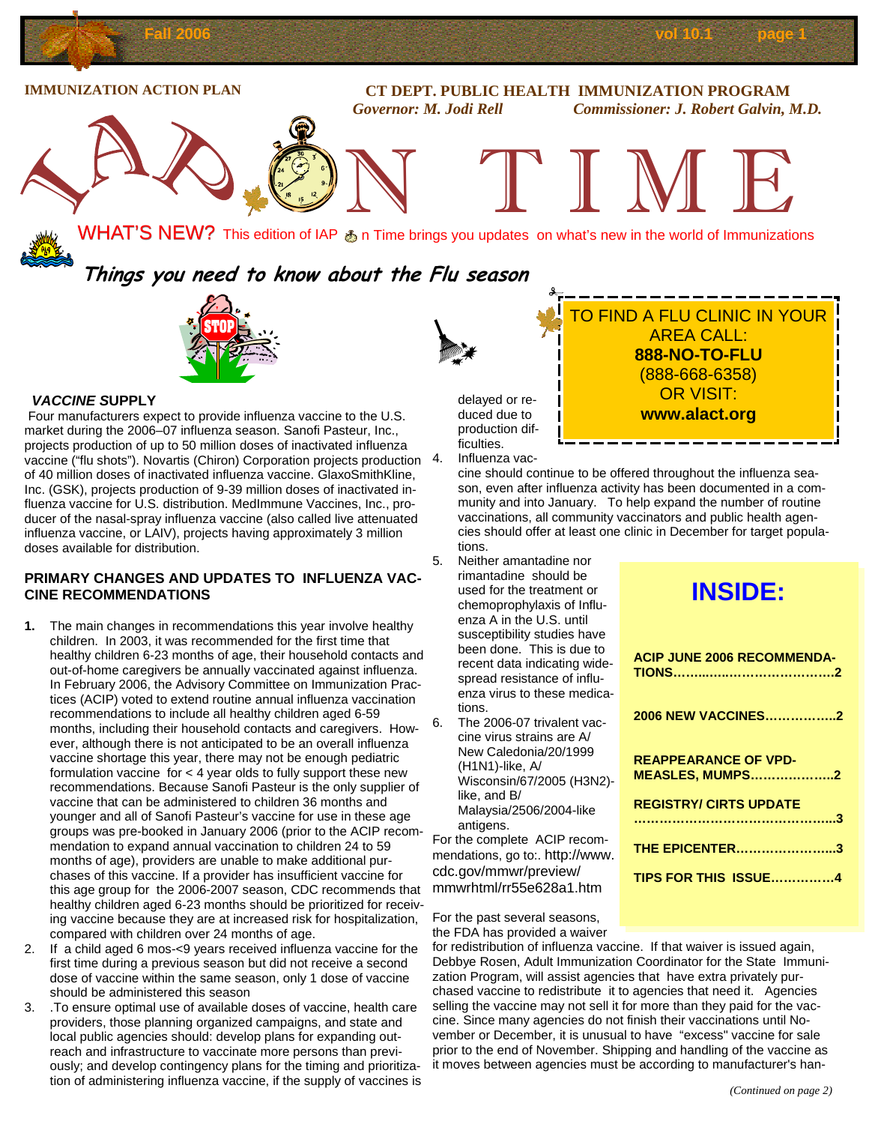

#### *VACCINE S***UPPLY**

 Four manufacturers expect to provide influenza vaccine to the U.S. market during the 2006–07 influenza season. Sanofi Pasteur, Inc., projects production of up to 50 million doses of inactivated influenza vaccine ("flu shots"). Novartis (Chiron) Corporation projects production 4. of 40 million doses of inactivated influenza vaccine. GlaxoSmithKline, Inc. (GSK), projects production of 9-39 million doses of inactivated influenza vaccine for U.S. distribution. MedImmune Vaccines, Inc., producer of the nasal-spray influenza vaccine (also called live attenuated influenza vaccine, or LAIV), projects having approximately 3 million doses available for distribution.

#### **PRIMARY CHANGES AND UPDATES TO INFLUENZA VAC-CINE RECOMMENDATIONS**

- **1.** The main changes in recommendations this year involve healthy children. In 2003, it was recommended for the first time that healthy children 6-23 months of age, their household contacts and out-of-home caregivers be annually vaccinated against influenza. In February 2006, the Advisory Committee on Immunization Practices (ACIP) voted to extend routine annual influenza vaccination recommendations to include all healthy children aged 6-59 months, including their household contacts and caregivers. However, although there is not anticipated to be an overall influenza vaccine shortage this year, there may not be enough pediatric formulation vaccine for < 4 year olds to fully support these new recommendations. Because Sanofi Pasteur is the only supplier of vaccine that can be administered to children 36 months and younger and all of Sanofi Pasteur's vaccine for use in these age groups was pre-booked in January 2006 (prior to the ACIP recommendation to expand annual vaccination to children 24 to 59 months of age), providers are unable to make additional purchases of this vaccine. If a provider has insufficient vaccine for this age group for the 2006-2007 season, CDC recommends that healthy children aged 6-23 months should be prioritized for receiving vaccine because they are at increased risk for hospitalization, compared with children over 24 months of age.
- 2. If a child aged 6 mos-<9 years received influenza vaccine for the first time during a previous season but did not receive a second dose of vaccine within the same season, only 1 dose of vaccine should be administered this season
- 3. .To ensure optimal use of available doses of vaccine, health care providers, those planning organized campaigns, and state and local public agencies should: develop plans for expanding outreach and infrastructure to vaccinate more persons than previously; and develop contingency plans for the timing and prioritization of administering influenza vaccine, if the supply of vaccines is

delayed or reduced due to production difficulties. Influenza vac-

cine should continue to be offered throughout the influenza season, even after influenza activity has been documented in a community and into January. To help expand the number of routine vaccinations, all community vaccinators and public health agencies should offer at least one clinic in December for target populations.

- 5. Neither amantadine nor rimantadine should be used for the treatment or chemoprophylaxis of Influenza A in the U.S. until susceptibility studies have been done. This is due to recent data indicating widespread resistance of influenza virus to these medications.
- 6. The 2006-07 trivalent vaccine virus strains are A/ New Caledonia/20/1999 (H1N1)-like, A/ Wisconsin/67/2005 (H3N2) like, and B/ Malaysia/2506/2004-like antigens.

For the complete ACIP recommendations, go to:. http://www. cdc.gov/mmwr/preview/ mmwrhtml/rr55e628a1.htm

# **INSIDE:**

(888-668-6358) OR VISIT: **www.alact.org** 

| <b>ACIP JUNE 2006 RECOMMENDA-</b>                     |
|-------------------------------------------------------|
| 2006 NEW VACCINES2                                    |
| <b>REAPPEARANCE OF VPD-</b><br><b>MEASLES, MUMPS2</b> |
| <b>REGISTRY/ CIRTS UPDATE</b>                         |
| <b>THE EPICENTER3</b>                                 |
| <b>TIPS FOR THIS ISSUE4</b>                           |

For the past several seasons, the FDA has provided a waiver

for redistribution of influenza vaccine. If that waiver is issued again, Debbye Rosen, Adult Immunization Coordinator for the State Immunization Program, will assist agencies that have extra privately purchased vaccine to redistribute it to agencies that need it. Agencies selling the vaccine may not sell it for more than they paid for the vaccine. Since many agencies do not finish their vaccinations until November or December, it is unusual to have "excess" vaccine for sale prior to the end of November. Shipping and handling of the vaccine as it moves between agencies must be according to manufacturer's han-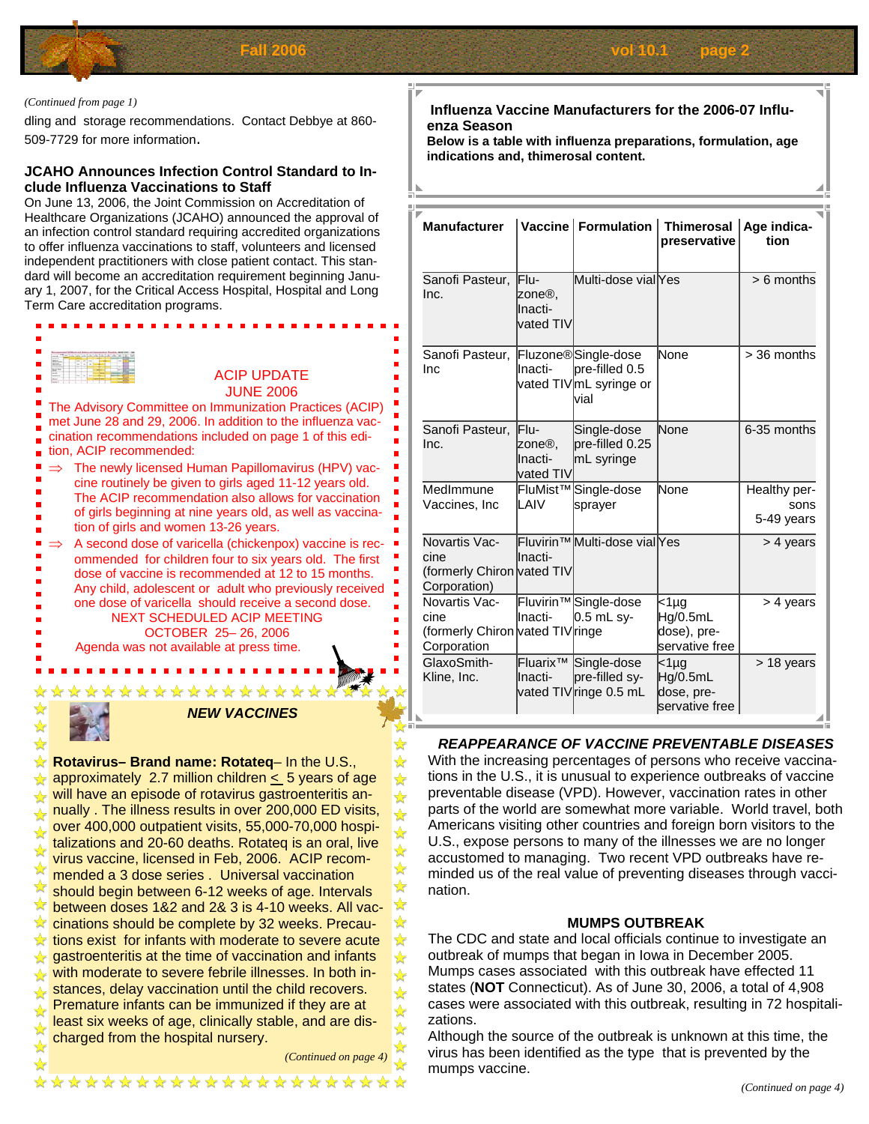

#### *(Continued from page 1)*

dling and storage recommendations. Contact Debbye at 860- 509-7729 for more information.

#### **JCAHO Announces Infection Control Standard to Include Influenza Vaccinations to Staff**

On June 13, 2006, the Joint Commission on Accreditation of Healthcare Organizations (JCAHO) announced the approval of an infection control standard requiring accredited organizations to offer influenza vaccinations to staff, volunteers and licensed independent practitioners with close patient contact. This standard will become an accreditation requirement beginning January 1, 2007, for the Critical Access Hospital, Hospital and Long Term Care accreditation programs.



#### *NEW VACCINES*

**Rotavirus– Brand name: Rotateq**– In the U.S.,  $\frac{1}{2}$  approximately 2.7 million children  $\leq$  5 years of age  $\star$  will have an episode of rotavirus gastroenteritis an- $\overline{\star}$  nually . The illness results in over 200,000 ED visits,  $\lambda$  over 400,000 outpatient visits, 55,000-70,000 hospitalizations and 20-60 deaths. Rotateq is an oral, live virus vaccine, licensed in Feb, 2006. ACIP recom-**Multiple vaccine, new series . Universal vaccination** should begin between 6-12 weeks of age. Intervals  $\sqrt{\ }$  between doses 1&2 and 2& 3 is 4-10 weeks. All vac-**X** cinations should be complete by 32 weeks. Precau- $\chi$  tions exist for infants with moderate to severe acute  $\sqrt{\sqrt{2}}$  gastroenteritis at the time of vaccination and infants with moderate to severe febrile illnesses. In both in- $\star$  stances, delay vaccination until the child recovers. Premature infants can be immunized if they are at least six weeks of age, clinically stable, and are discharged from the hospital nursery.

\*\*\*\*\*\*\*\*\*\*\*\*\*\*\*\*\*

*(Continued on page* 

☆ ☆  $\frac{\lambda}{M}$ ☆ ☆  $\frac{1}{\sqrt{2}}$ ☆ ☆  $\frac{1}{\sqrt{2}}$  $\frac{1}{\sqrt{2}}$  $\bigstar$ ☆ ☆  $\frac{1}{\mathcal{N}}$ ☆

#### **Influenza Vaccine Manufacturers for the 2006-07 Influenza Season**

**Below is a table with influenza preparations, formulation, age**  indications and, thimerosal content.

| <b>Manufacturer</b>                                                      |                                        | Vaccine   Formulation                                                                  | Thimerosal   Age indica-<br>preservative          | tion                               |
|--------------------------------------------------------------------------|----------------------------------------|----------------------------------------------------------------------------------------|---------------------------------------------------|------------------------------------|
| Sanofi Pasteur,<br>Inc.                                                  | Flu-<br>zone®,<br>Inacti-<br>vated TIV | Multi-dose viallYes                                                                    |                                                   | $> 6$ months                       |
| Sanofi Pasteur,<br>Inc                                                   | llnacti-                               | Fluzone <sup>®</sup> Single-dose<br>pre-filled 0.5<br>vated TIV mL syringe or<br>lvial | None                                              | > 36 months                        |
| Sanofi Pasteur,<br>Inc.                                                  | Flu-<br>zone®,<br>Inacti-<br>vated TIV | Single-dose<br>pre-filled 0.25<br>mL syringe                                           | <b>None</b>                                       | 6-35 months                        |
| MedImmune<br>Vaccines, Inc                                               | ILAIV                                  | FluMist <sup>™</sup> Single-dose<br>sprayer                                            | None                                              | Healthy per-<br>sons<br>5-49 years |
| Novartis Vac-<br>cine<br>(formerly Chiron vated TIV<br>Corporation)      | Inacti-                                | Fluvirin <sup>™</sup> Multi-dose vial <sub>l</sub> Yes                                 |                                                   | > 4 years                          |
| Novartis Vac-<br>cine<br>(formerly Chiron vated TIV ringe<br>Corporation | llnacti-                               | Fluvirin <sup>™</sup> Single-dose<br>$0.5$ mL sy-                                      | <1µg<br>Hg/0.5mL<br>dose), pre-<br>servative free | > 4 years                          |
| GlaxoSmith-<br>Kline, Inc.<br>⊾                                          | lFluarix™<br>llnacti-                  | Single-dose<br>pre-filled sy-<br>vated TIV ringe 0.5 mL                                | $1µg$<br>Hg/0.5mL<br>dose, pre-<br>servative free | > 18 years                         |

#### *REAPPEARANCE OF VACCINE PREVENTABLE DISEASES*

With the increasing percentages of persons who receive vaccinations in the U.S., it is unusual to experience outbreaks of vaccine preventable disease (VPD). However, vaccination rates in other parts of the world are somewhat more variable. World travel, both Americans visiting other countries and foreign born visitors to the U.S., expose persons to many of the illnesses we are no longer accustomed to managing. Two recent VPD outbreaks have reminded us of the real value of preventing diseases through vaccination.

#### **MUMPS OUTBREAK**

The CDC and state and local officials continue to investigate an outbreak of mumps that began in Iowa in December 2005. Mumps cases associated with this outbreak have effected 11 states (**NOT** Connecticut). As of June 30, 2006, a total of 4,908 cases were associated with this outbreak, resulting in 72 hospitalizations.

Although the source of the outbreak is unknown at this time, the virus has been identified as the type that is prevented by the mumps vaccine.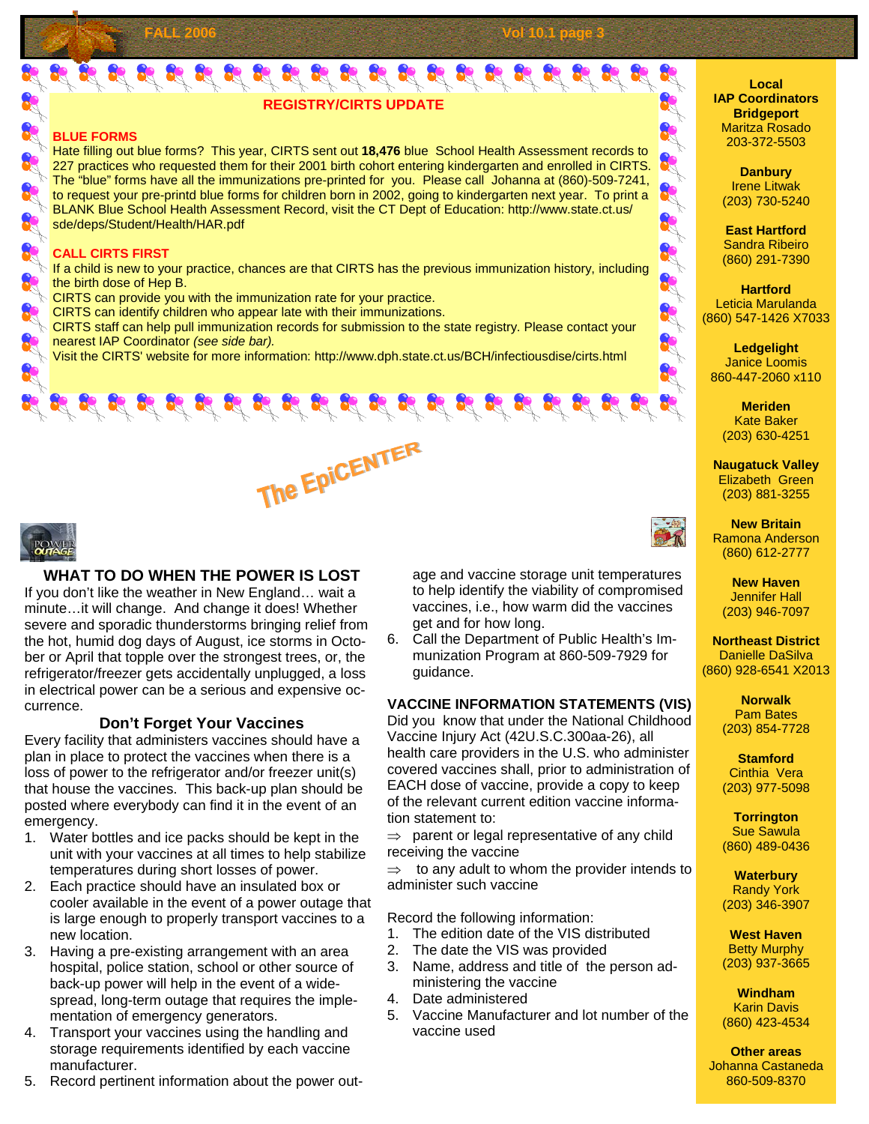## $\frac{1}{2} \frac{1}{2} \frac{1}{2} \frac{1}{2} \frac{1}{2} \frac{1}{2} \frac{1}{2} \frac{1}{2} \frac{1}{2} \frac{1}{2} \frac{1}{2} \frac{1}{2} \frac{1}{2} \frac{1}{2} \frac{1}{2} \frac{1}{2} \frac{1}{2} \frac{1}{2} \frac{1}{2} \frac{1}{2} \frac{1}{2} \frac{1}{2} \frac{1}{2} \frac{1}{2} \frac{1}{2} \frac{1}{2} \frac{1}{2} \frac{1}{2} \frac{1}{2} \frac{1}{2} \frac{1}{2} \frac{$ **REGISTRY/CIRTS UPDATE**

**FALL 2006 Vol 10.1 page 3** 

#### **BLUE FORMS**

Hate filling out blue forms? This year, CIRTS sent out **18,476** blue School Health Assessment records to 227 practices who requested them for their 2001 birth cohort entering kindergarten and enrolled in CIRTS. The "blue" forms have all the immunizations pre-printed for you. Please call Johanna at (860)-509-7241, to request your pre-printd blue forms for children born in 2002, going to kindergarten next year. To print a BLANK Blue School Health Assessment Record, visit the CT Dept of Education: http://www.state.ct.us/ sde/deps/Student/Health/HAR.pdf

#### **CALL CIRTS FIRST**

 $\triangleright$  If a child is new to your practice, chances are that CIRTS has the previous immunization history, including the birth dose of Hep B.

- $\Diamond$  CIRTS can provide you with the immunization rate for your practice.
- CIRTS can identify children who appear late with their immunizations.

 $\triangleright$  CIRTS staff can help pull immunization records for submission to the state registry. Please contact your nearest IAP Coordinator *(see side bar).* 

Visit the CIRTS' website for more information: http://www.dph.state.ct.us/BCH/infectiousdise/cirts.html



### **WHAT TO DO WHEN THE POWER IS LOST**

If you don't like the weather in New England… wait a minute…it will change. And change it does! Whether severe and sporadic thunderstorms bringing relief from the hot, humid dog days of August, ice storms in October or April that topple over the strongest trees, or, the refrigerator/freezer gets accidentally unplugged, a loss in electrical power can be a serious and expensive occurrence.

#### **Don't Forget Your Vaccines**

Every facility that administers vaccines should have a plan in place to protect the vaccines when there is a loss of power to the refrigerator and/or freezer unit(s) that house the vaccines. This back-up plan should be posted where everybody can find it in the event of an emergency.

- 1. Water bottles and ice packs should be kept in the unit with your vaccines at all times to help stabilize temperatures during short losses of power.
- 2. Each practice should have an insulated box or cooler available in the event of a power outage that is large enough to properly transport vaccines to a new location.
- 3. Having a pre-existing arrangement with an area hospital, police station, school or other source of back-up power will help in the event of a widespread, long-term outage that requires the implementation of emergency generators.
- 4. Transport your vaccines using the handling and storage requirements identified by each vaccine manufacturer.
- 5. Record pertinent information about the power out-

age and vaccine storage unit temperatures to help identify the viability of compromised vaccines, i.e., how warm did the vaccines get and for how long.

6. Call the Department of Public Health's Immunization Program at 860-509-7929 for guidance.

#### **VACCINE INFORMATION STATEMENTS (VIS)**

Did you know that under the National Childhood Vaccine Injury Act (42U.S.C.300aa-26), all health care providers in the U.S. who administer covered vaccines shall, prior to administration of EACH dose of vaccine, provide a copy to keep of the relevant current edition vaccine information statement to:

 $\Rightarrow$  parent or legal representative of any child receiving the vaccine

to any adult to whom the provider intends to administer such vaccine

Record the following information:

- 1. The edition date of the VIS distributed
- 2. The date the VIS was provided
- 3. Name, address and title of the person administering the vaccine
- 4. Date administered
- 5. Vaccine Manufacturer and lot number of the vaccine used

**Local IAP Coordinators Bridgeport**  Maritza Rosado 203-372-5503



**East Hartford**  Sandra Ribeiro (860) 291-7390

**Hartford**  Leticia Marulanda (860) 547-1426 X7033

A R.

R+

**Ledgelight**  Janice Loomis 860-447-2060 x110

> **Meriden**  Kate Baker (203) 630-4251

**Naugatuck Valley**  Elizabeth Green (203) 881-3255

**New Britain**  Ramona Anderson (860) 612-2777

**New Haven**  Jennifer Hall (203) 946-7097

**Northeast District**  Danielle DaSilva (860) 928-6541 X2013

> **Norwalk**  Pam Bates (203) 854-7728

> **Stamford**  Cinthia Vera (203) 977-5098

**Torrington**  Sue Sawula (860) 489-0436

**Waterbury**  Randy York (203) 346-3907

**West Haven**  Betty Murphy (203) 937-3665

**Windham**  Karin Davis (860) 423-4534

**Other areas**  Johanna Castaneda 860-509-8370